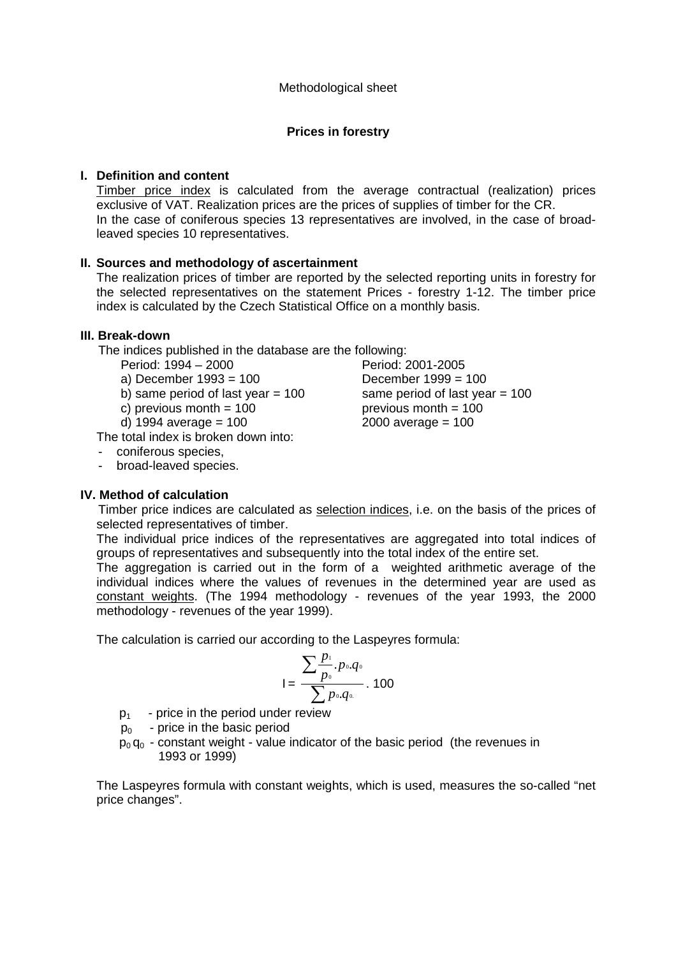### **Prices in forestry**

#### **I. Definition and content**

Timber price index is calculated from the average contractual (realization) prices exclusive of VAT. Realization prices are the prices of supplies of timber for the CR. In the case of coniferous species 13 representatives are involved, in the case of broadleaved species 10 representatives.

#### **II. Sources and methodology of ascertainment**

The realization prices of timber are reported by the selected reporting units in forestry for the selected representatives on the statement Prices - forestry 1-12. The timber price index is calculated by the Czech Statistical Office on a monthly basis.

#### **III. Break-down**

The indices published in the database are the following:

Period: 1994 – 2000 Period: 2001-2005

- a) December 1993 = 100 December 1999 = 100
- b) same period of last year  $= 100$  same period of last year  $= 100$
- c) previous month  $= 100$  previous month  $= 100$
- d) 1994 average = 100 2000 average = 100

The total index is broken down into:

- coniferous species,
- broad-leaved species.

#### **IV. Method of calculation**

 Timber price indices are calculated as selection indices, i.e. on the basis of the prices of selected representatives of timber.

The individual price indices of the representatives are aggregated into total indices of groups of representatives and subsequently into the total index of the entire set.

The aggregation is carried out in the form of a weighted arithmetic average of the individual indices where the values of revenues in the determined year are used as constant weights. (The 1994 methodology - revenues of the year 1993, the 2000 methodology - revenues of the year 1999).

The calculation is carried our according to the Laspeyres formula:

$$
I = \frac{\sum_{p_0}^{p_1} p_{0}.q_0}{\sum_{p_0}^{p_0} p_{0}.q_0} \cdot 100
$$

 $p_1$  - price in the period under review

- $p_0$  price in the basic period
- $p_0 q_0$  constant weight value indicator of the basic period (the revenues in 1993 or 1999)

The Laspeyres formula with constant weights, which is used, measures the so-called "net price changes".